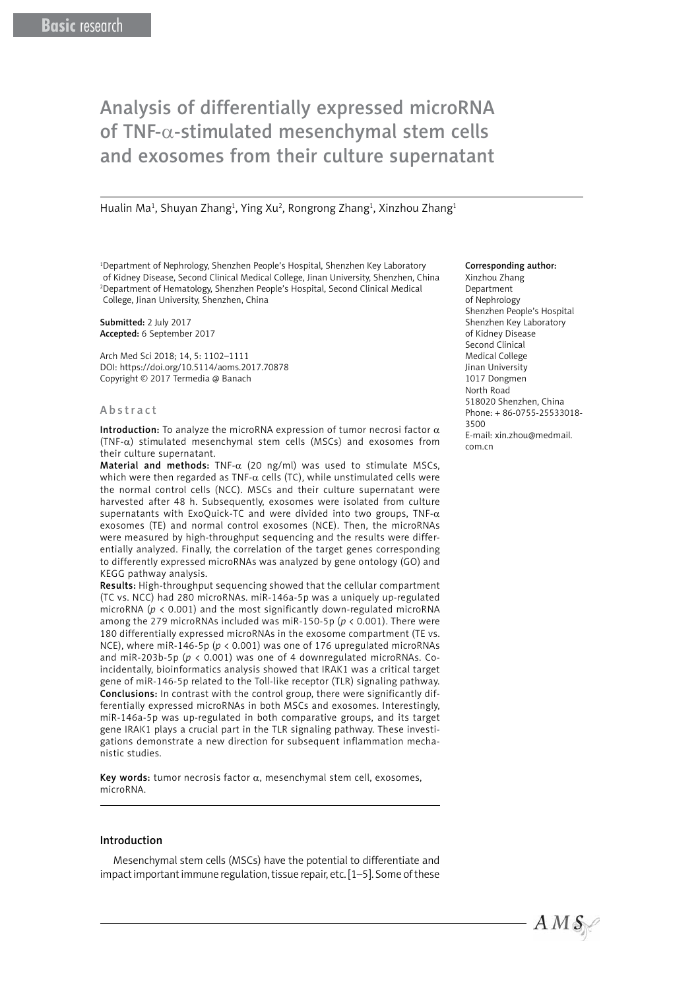# Analysis of differentially expressed microRNA of TNF-α-stimulated mesenchymal stem cells and exosomes from their culture supernatant

Hualin Ma<sup>1</sup>, Shuyan Zhang<sup>1</sup>, Ying Xu<sup>2</sup>, Rongrong Zhang<sup>1</sup>, Xinzhou Zhang<sup>1</sup>

1 Department of Nephrology, Shenzhen People's Hospital, Shenzhen Key Laboratory of Kidney Disease, Second Clinical Medical College, Jinan University, Shenzhen, China 2 Department of Hematology, Shenzhen People's Hospital, Second Clinical Medical College, Jinan University, Shenzhen, China

Submitted: 2 July 2017 Accepted: 6 September 2017

Arch Med Sci 2018; 14, 5: 1102–1111 DOI: https://doi.org/10.5114/aoms.2017.70878 Copyright © 2017 Termedia @ Banach

#### Abstract

Introduction: To analyze the microRNA expression of tumor necrosi factor  $\alpha$ (TNF-α) stimulated mesenchymal stem cells (MSCs) and exosomes from their culture supernatant.

Material and methods: TNF- $\alpha$  (20 ng/ml) was used to stimulate MSCs, which were then regarded as TNF- $\alpha$  cells (TC), while unstimulated cells were the normal control cells (NCC). MSCs and their culture supernatant were harvested after 48 h. Subsequently, exosomes were isolated from culture supernatants with ExoQuick-TC and were divided into two groups, TNF- $\alpha$ exosomes (TE) and normal control exosomes (NCE). Then, the microRNAs were measured by high-throughput sequencing and the results were differentially analyzed. Finally, the correlation of the target genes corresponding to differently expressed microRNAs was analyzed by gene ontology (GO) and KEGG pathway analysis.

Results: High-throughput sequencing showed that the cellular compartment (TC vs. NCC) had 280 microRNAs. miR-146a-5p was a uniquely up-regulated microRNA (*p* < 0.001) and the most significantly down-regulated microRNA among the 279 microRNAs included was miR-150-5p (*p* < 0.001). There were 180 differentially expressed microRNAs in the exosome compartment (TE vs. NCE), where miR-146-5p (*p* < 0.001) was one of 176 upregulated microRNAs and miR-203b-5p (*p* < 0.001) was one of 4 downregulated microRNAs. Coincidentally, bioinformatics analysis showed that IRAK1 was a critical target gene of miR-146-5p related to the Toll-like receptor (TLR) signaling pathway. Conclusions: In contrast with the control group, there were significantly differentially expressed microRNAs in both MSCs and exosomes. Interestingly, miR-146a-5p was up-regulated in both comparative groups, and its target gene IRAK1 plays a crucial part in the TLR signaling pathway. These investigations demonstrate a new direction for subsequent inflammation mechanistic studies.

Key words: tumor necrosis factor  $\alpha$ , mesenchymal stem cell, exosomes, microRNA.

#### Introduction

Mesenchymal stem cells (MSCs) have the potential to differentiate and impact important immune regulation, tissue repair, etc. [1–5]. Some of these

#### Corresponding author:

Xinzhou Zhang Department of Nephrology Shenzhen People's Hospital Shenzhen Key Laboratory of Kidney Disease Second Clinical Medical College Jinan University 1017 Dongmen North Road 518020 Shenzhen, China Phone: + 86-0755-25533018- 3500 E-mail: xin.zhou@medmail. com.cn

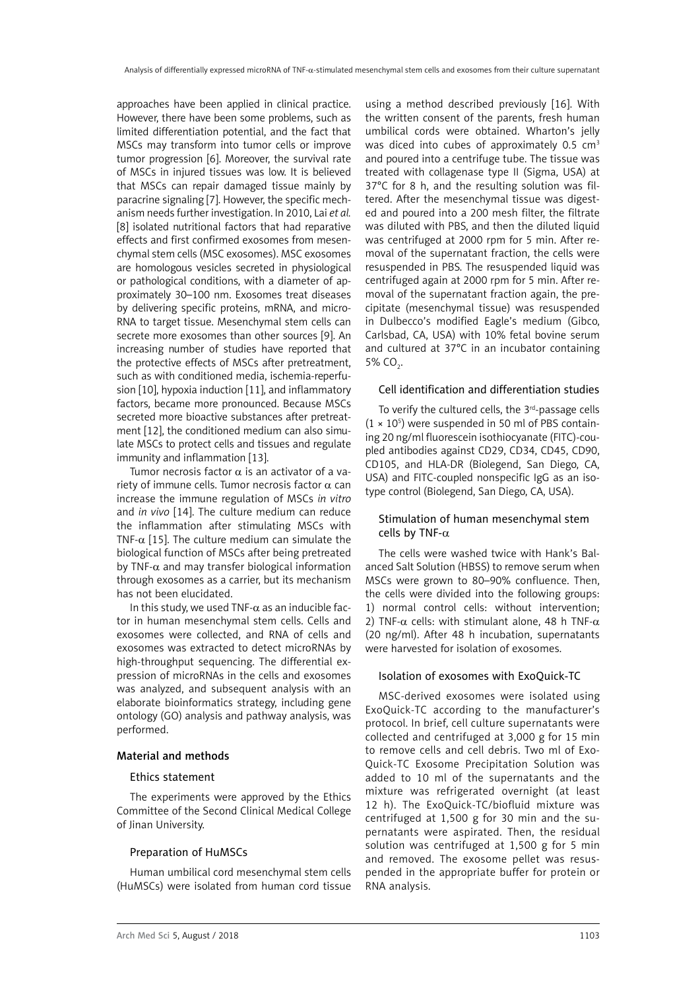approaches have been applied in clinical practice. However, there have been some problems, such as limited differentiation potential, and the fact that MSCs may transform into tumor cells or improve tumor progression [6]. Moreover, the survival rate of MSCs in injured tissues was low. It is believed that MSCs can repair damaged tissue mainly by paracrine signaling [7]. However, the specific mechanism needs further investigation. In 2010, Lai *et al.* [8] isolated nutritional factors that had reparative effects and first confirmed exosomes from mesenchymal stem cells (MSC exosomes). MSC exosomes are homologous vesicles secreted in physiological or pathological conditions, with a diameter of approximately 30–100 nm. Exosomes treat diseases by delivering specific proteins, mRNA, and micro-RNA to target tissue. Mesenchymal stem cells can secrete more exosomes than other sources [9]. An increasing number of studies have reported that the protective effects of MSCs after pretreatment, such as with conditioned media, ischemia-reperfusion [10], hypoxia induction [11], and inflammatory factors, became more pronounced. Because MSCs secreted more bioactive substances after pretreatment [12], the conditioned medium can also simulate MSCs to protect cells and tissues and regulate immunity and inflammation [13].

Tumor necrosis factor α is an activator of a variety of immune cells. Tumor necrosis factor  $\alpha$  can increase the immune regulation of MSCs *in vitro* and *in vivo* [14]. The culture medium can reduce the inflammation after stimulating MSCs with TNF- $\alpha$  [15]. The culture medium can simulate the biological function of MSCs after being pretreated by TNF- $\alpha$  and may transfer biological information through exosomes as a carrier, but its mechanism has not been elucidated.

In this study, we used TNF- $\alpha$  as an inducible factor in human mesenchymal stem cells. Cells and exosomes were collected, and RNA of cells and exosomes was extracted to detect microRNAs by high-throughput sequencing. The differential expression of microRNAs in the cells and exosomes was analyzed, and subsequent analysis with an elaborate bioinformatics strategy, including gene ontology (GO) analysis and pathway analysis, was performed.

#### Material and methods

## Ethics statement

The experiments were approved by the Ethics Committee of the Second Clinical Medical College of Jinan University.

## Preparation of HuMSCs

Human umbilical cord mesenchymal stem cells (HuMSCs) were isolated from human cord tissue

using a method described previously [16]. With the written consent of the parents, fresh human umbilical cords were obtained. Wharton's jelly was diced into cubes of approximately  $0.5 \text{ cm}^3$ and poured into a centrifuge tube. The tissue was treated with collagenase type II (Sigma, USA) at 37°C for 8 h, and the resulting solution was filtered. After the mesenchymal tissue was digested and poured into a 200 mesh filter, the filtrate was diluted with PBS, and then the diluted liquid was centrifuged at 2000 rpm for 5 min. After removal of the supernatant fraction, the cells were resuspended in PBS. The resuspended liquid was centrifuged again at 2000 rpm for 5 min. After removal of the supernatant fraction again, the precipitate (mesenchymal tissue) was resuspended in Dulbecco's modified Eagle's medium (Gibco, Carlsbad, CA, USA) with 10% fetal bovine serum and cultured at 37°C in an incubator containing 5% CO<sub>2</sub>.

#### Cell identification and differentiation studies

To verify the cultured cells, the 3<sup>rd</sup>-passage cells  $(1 \times 10^5)$  were suspended in 50 ml of PBS containing 20 ng/ml fluorescein isothiocyanate (FITC)-coupled antibodies against CD29, CD34, CD45, CD90, CD105, and HLA-DR (Biolegend, San Diego, CA, USA) and FITC-coupled nonspecific IgG as an isotype control (Biolegend, San Diego, CA, USA).

## Stimulation of human mesenchymal stem cells by TNF-α

The cells were washed twice with Hank's Balanced Salt Solution (HBSS) to remove serum when MSCs were grown to 80–90% confluence. Then, the cells were divided into the following groups: 1) normal control cells: without intervention; 2) TNF- $\alpha$  cells: with stimulant alone, 48 h TNF- $\alpha$ (20 ng/ml). After 48 h incubation, supernatants were harvested for isolation of exosomes.

## Isolation of exosomes with ExoQuick-TC

MSC-derived exosomes were isolated using ExoQuick-TC according to the manufacturer's protocol. In brief, cell culture supernatants were collected and centrifuged at 3,000 g for 15 min to remove cells and cell debris. Two ml of Exo-Quick-TC Exosome Precipitation Solution was added to 10 ml of the supernatants and the mixture was refrigerated overnight (at least 12 h). The ExoQuick-TC/biofluid mixture was centrifuged at 1,500 g for 30 min and the supernatants were aspirated. Then, the residual solution was centrifuged at 1,500 g for 5 min and removed. The exosome pellet was resuspended in the appropriate buffer for protein or RNA analysis.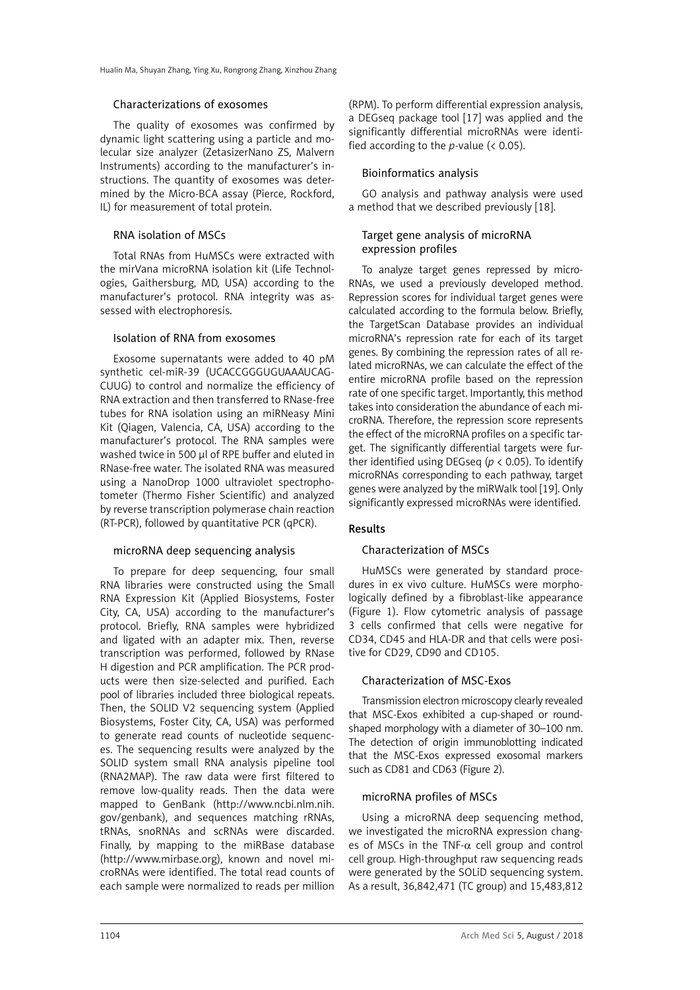#### Characterizations of exosomes

The quality of exosomes was confirmed by dynamic light scattering using a particle and molecular size analyzer (ZetasizerNano ZS, Malvern Instruments) according to the manufacturer's instructions. The quantity of exosomes was determined by the Micro-BCA assay (Pierce, Rockford, IL) for measurement of total protein.

## RNA isolation of MSCs

Total RNAs from HuMSCs were extracted with the mirVana microRNA isolation kit (Life Technologies, Gaithersburg, MD, USA) according to the manufacturer's protocol. RNA integrity was assessed with electrophoresis.

#### Isolation of RNA from exosomes

Exosome supernatants were added to 40 pM synthetic cel-miR-39 (UCACCGGGUGUAAAUCAG-CUUG) to control and normalize the efficiency of RNA extraction and then transferred to RNase-free tubes for RNA isolation using an miRNeasy Mini Kit (Qiagen, Valencia, CA, USA) according to the manufacturer's protocol. The RNA samples were washed twice in 500 μl of RPE buffer and eluted in RNase-free water. The isolated RNA was measured using a NanoDrop 1000 ultraviolet spectrophotometer (Thermo Fisher Scientific) and analyzed by reverse transcription polymerase chain reaction (RT-PCR), followed by quantitative PCR (qPCR).

## microRNA deep sequencing analysis

To prepare for deep sequencing, four small RNA libraries were constructed using the Small RNA Expression Kit (Applied Biosystems, Foster City, CA, USA) according to the manufacturer's protocol. Briefly, RNA samples were hybridized and ligated with an adapter mix. Then, reverse transcription was performed, followed by RNase H digestion and PCR amplification. The PCR products were then size-selected and purified. Each pool of libraries included three biological repeats. Then, the SOLID V2 sequencing system (Applied Biosystems, Foster City, CA, USA) was performed to generate read counts of nucleotide sequences. The sequencing results were analyzed by the SOLID system small RNA analysis pipeline tool (RNA2MAP). The raw data were first filtered to remove low-quality reads. Then the data were mapped to GenBank (http://www.ncbi.nlm.nih. gov/genbank), and sequences matching rRNAs, tRNAs, snoRNAs and scRNAs were discarded. Finally, by mapping to the miRBase database (http://www.mirbase.org), known and novel microRNAs were identified. The total read counts of each sample were normalized to reads per million (RPM). To perform differential expression analysis, a DEGseq package tool [17] was applied and the significantly differential microRNAs were identified according to the *p*-value (< 0.05).

## Bioinformatics analysis

GO analysis and pathway analysis were used a method that we described previously [18].

## Target gene analysis of microRNA expression profiles

To analyze target genes repressed by micro-RNAs, we used a previously developed method. Repression scores for individual target genes were calculated according to the formula below. Briefly, the TargetScan Database provides an individual microRNA's repression rate for each of its target genes. By combining the repression rates of all related microRNAs, we can calculate the effect of the entire microRNA profile based on the repression rate of one specific target. Importantly, this method takes into consideration the abundance of each microRNA. Therefore, the repression score represents the effect of the microRNA profiles on a specific target. The significantly differential targets were further identified using DEGseq (*p* < 0.05). To identify microRNAs corresponding to each pathway, target genes were analyzed by the miRWalk tool [19]. Only significantly expressed microRNAs were identified.

# Results

#### Characterization of MSCs

HuMSCs were generated by standard procedures in ex vivo culture. HuMSCs were morphologically defined by a fibroblast-like appearance (Figure 1). Flow cytometric analysis of passage 3 cells confirmed that cells were negative for CD34, CD45 and HLA-DR and that cells were positive for CD29, CD90 and CD105.

### Characterization of MSC-Exos

Transmission electron microscopy clearly revealed that MSC-Exos exhibited a cup-shaped or roundshaped morphology with a diameter of 30–100 nm. The detection of origin immunoblotting indicated that the MSC-Exos expressed exosomal markers such as CD81 and CD63 (Figure [2](file:///D:/Prace/AMS%20manuscript%20accepted/tekst/2017/#Fig2#Fig2)).

# microRNA profiles of MSCs

Using a microRNA deep sequencing method, we investigated the microRNA expression changes of MSCs in the TNF- $\alpha$  cell group and control cell group. High-throughput raw sequencing reads were generated by the SOLiD sequencing system. As a result, 36,842,471 (TC group) and 15,483,812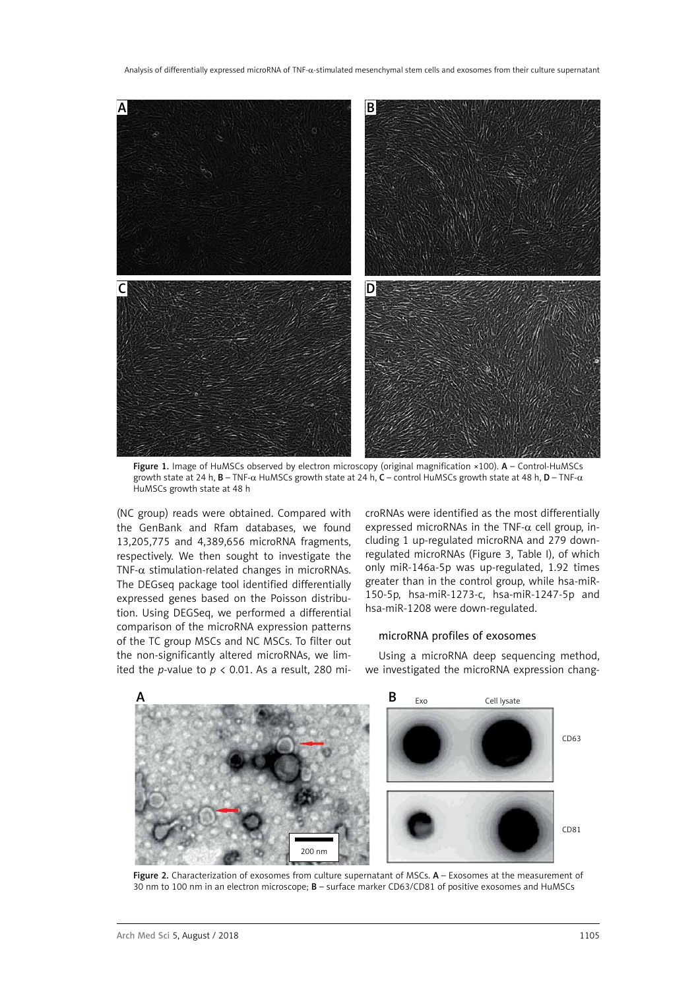

Figure 1. Image of HuMSCs observed by electron microscopy (original magnification ×100). A - Control-HuMSCs growth state at 24 h, B – TNF-α HuMSCs growth state at 24 h, C – control HuMSCs growth state at 48 h, D – TNF-α HuMSCs growth state at 48 h

(NC group) reads were obtained. Compared with the GenBank and Rfam databases, we found 13,205,775 and 4,389,656 microRNA fragments, respectively. We then sought to investigate the TNF- $\alpha$  stimulation-related changes in microRNAs. The DEGseq package tool identified differentially expressed genes based on the Poisson distribution. Using DEGSeq, we performed a differential comparison of the microRNA expression patterns of the TC group MSCs and NC MSCs. To filter out the non-significantly altered microRNAs, we limited the *p*-value to  $p < 0.01$ . As a result, 280 microRNAs were identified as the most differentially expressed microRNAs in the TNF- $\alpha$  cell group, including 1 up-regulated microRNA and 279 downregulated microRNAs (Figure 3, Table I), of which only miR-146a-5p was up-regulated, 1.92 times greater than in the control group, while hsa-miR-150-5p, hsa-miR-1273-c, hsa-miR-1247-5p and hsa-miR-1208 were down-regulated.

## microRNA profiles of exosomes

Using a microRNA deep sequencing method, we investigated the microRNA expression chang-



Figure 2. Characterization of exosomes from culture supernatant of MSCs. A - Exosomes at the measurement of 30 nm to 100 nm in an electron microscope; B – surface marker CD63/CD81 of positive exosomes and HuMSCs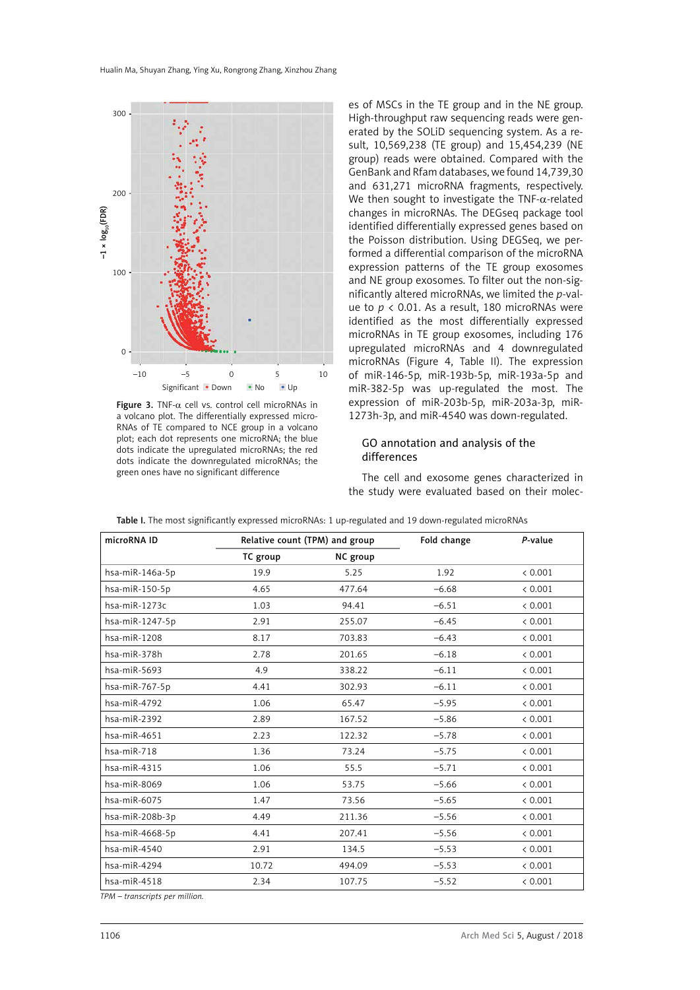

Figure 3. TNF- $\alpha$  cell vs. control cell microRNAs in a volcano plot. The differentially expressed micro-RNAs of TE compared to NCE group in a volcano plot; each dot represents one microRNA; the blue dots indicate the upregulated microRNAs; the red dots indicate the downregulated microRNAs; the green ones have no significant difference

es of MSCs in the TE group and in the NE group. High-throughput raw sequencing reads were generated by the SOLiD sequencing system. As a result, 10,569,238 (TE group) and 15,454,239 (NE group) reads were obtained. Compared with the GenBank and Rfam databases, we found 14,739,30 and 631,271 microRNA fragments, respectively. We then sought to investigate the TNF- $\alpha$ -related changes in microRNAs. The DEGseq package tool identified differentially expressed genes based on the Poisson distribution. Using DEGSeq, we performed a differential comparison of the microRNA expression patterns of the TE group exosomes and NE group exosomes. To filter out the non-significantly altered microRNAs, we limited the *p*-value to *p* < 0.01. As a result, 180 microRNAs were identified as the most differentially expressed microRNAs in TE group exosomes, including 176 upregulated microRNAs and 4 downregulated microRNAs (Figure 4, Table II). The expression of miR-146-5p, miR-193b-5p, miR-193a-5p and miR-382-5p was up-regulated the most. The expression of miR-203b-5p, miR-203a-3p, miR-1273h-3p, and miR-4540 was down-regulated.

## GO annotation and analysis of the differences

The cell and exosome genes characterized in the study were evaluated based on their molec-

| microRNA ID         | Relative count (TPM) and group |          | Fold change | P-value |
|---------------------|--------------------------------|----------|-------------|---------|
|                     | TC group                       | NC group |             |         |
| hsa-miR-146a-5p     | 19.9                           | 5.25     | 1.92        | < 0.001 |
| hsa-miR-150-5p      | 4.65                           | 477.64   | $-6.68$     | < 0.001 |
| hsa-miR-1273c       | 1.03                           | 94.41    | $-6.51$     | < 0.001 |
| hsa-miR-1247-5p     | 2.91                           | 255.07   | $-6.45$     | < 0.001 |
| $hsa$ -mi $R-1208$  | 8.17                           | 703.83   | $-6.43$     | < 0.001 |
| hsa-miR-378h        | 2.78                           | 201.65   | $-6.18$     | < 0.001 |
| hsa-miR-5693        | 4.9                            | 338.22   | $-6.11$     | < 0.001 |
| hsa-miR-767-5p      | 4.41                           | 302.93   | $-6.11$     | < 0.001 |
| hsa-miR-4792        | 1.06                           | 65.47    | $-5.95$     | < 0.001 |
| $hsa$ -mi $R-2392$  | 2.89                           | 167.52   | $-5.86$     | < 0.001 |
| $hsa$ -mi $R$ -4651 | 2.23                           | 122.32   | $-5.78$     | < 0.001 |
| hsa-miR-718         | 1.36                           | 73.24    | $-5.75$     | < 0.001 |
| hsa-miR-4315        | 1.06                           | 55.5     | $-5.71$     | < 0.001 |
| hsa-miR-8069        | 1.06                           | 53.75    | $-5.66$     | < 0.001 |
| hsa-miR-6075        | 1.47                           | 73.56    | $-5.65$     | < 0.001 |
| hsa-miR-208b-3p     | 4.49                           | 211.36   | $-5.56$     | < 0.001 |
| hsa-miR-4668-5p     | 4.41                           | 207.41   | $-5.56$     | < 0.001 |
| hsa-miR-4540        | 2.91                           | 134.5    | $-5.53$     | < 0.001 |
| hsa-miR-4294        | 10.72                          | 494.09   | $-5.53$     | < 0.001 |
| $hsa$ -mi $R-4518$  | 2.34                           | 107.75   | $-5.52$     | < 0.001 |

Table I. The most significantly expressed microRNAs: 1 up-regulated and 19 down-regulated microRNAs

*TPM – transcripts per million.*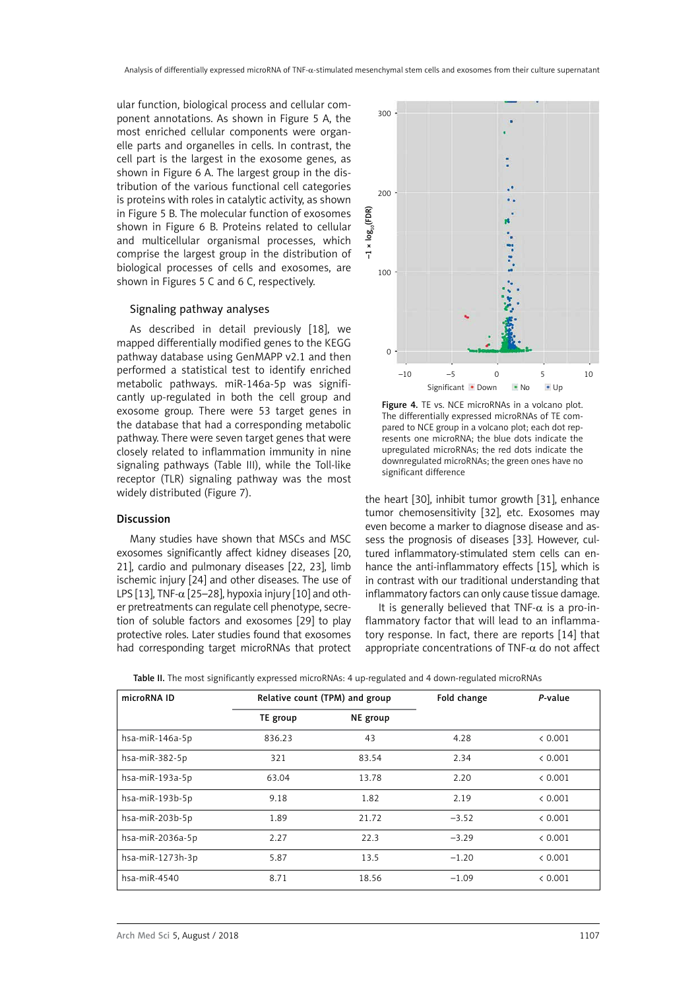ular function, biological process and cellular component annotations. As shown in Figure 5 A, the most enriched cellular components were organelle parts and organelles in cells. In contrast, the cell part is the largest in the exosome genes, as shown in Figure 6 A. The largest group in the distribution of the various functional cell categories is proteins with roles in catalytic activity, as shown in Figure 5 B. The molecular function of exosomes shown in Figure 6 B. Proteins related to cellular and multicellular organismal processes, which comprise the largest group in the distribution of biological processes of cells and exosomes, are shown in Figures 5 C and 6 C, respectively.

#### Signaling pathway analyses

As described in detail previously [18], we mapped differentially modified genes to the KEGG pathway database using GenMAPP v2.1 and then performed a statistical test to identify enriched metabolic pathways. miR-146a-5p was significantly up-regulated in both the cell group and exosome group. There were 53 target genes in the database that had a corresponding metabolic pathway. There were seven target genes that were closely related to inflammation immunity in nine signaling pathways (Table III), while the Toll-like receptor (TLR) signaling pathway was the most widely distributed (Figure 7).

#### Discussion

Many studies have shown that MSCs and MSC exosomes significantly affect kidney diseases [20, 21], cardio and pulmonary diseases [22, 23], limb ischemic injury [24] and other diseases. The use of LPS [13], TNF- $\alpha$  [25–28], hypoxia injury [10] and other pretreatments can regulate cell phenotype, secretion of soluble factors and exosomes [29] to play protective roles. Later studies found that exosomes had corresponding target microRNAs that protect



Figure 4. TE vs. NCE microRNAs in a volcano plot. The differentially expressed microRNAs of TE compared to NCE group in a volcano plot; each dot represents one microRNA; the blue dots indicate the upregulated microRNAs; the red dots indicate the downregulated microRNAs; the green ones have no significant difference

the heart [30], inhibit tumor growth [31], enhance tumor chemosensitivity [32], etc. Exosomes may even become a marker to diagnose disease and assess the prognosis of diseases [33]. However, cultured inflammatory-stimulated stem cells can enhance the anti-inflammatory effects [15], which is in contrast with our traditional understanding that inflammatory factors can only cause tissue damage.

It is generally believed that TNF- $\alpha$  is a pro-inflammatory factor that will lead to an inflammatory response. In fact, there are reports [14] that appropriate concentrations of TNF- $\alpha$  do not affect

| microRNA ID        |          | Relative count (TPM) and group |         | P-value |
|--------------------|----------|--------------------------------|---------|---------|
|                    | TE group | NE group                       |         |         |
| hsa-miR-146a-5p    | 836.23   | 43                             | 4.28    | & 0.001 |
| hsa-miR-382-5p     | 321      | 83.54                          | 2.34    | & 0.001 |
| hsa-miR-193a-5p    | 63.04    | 13.78                          | 2.20    | & 0.001 |
| hsa-miR-193b-5p    | 9.18     | 1.82                           | 2.19    | < 0.001 |
| hsa-miR-203b-5p    | 1.89     | 21.72                          | $-3.52$ | < 0.001 |
| hsa-miR-2036a-5p   | 2.27     | 22.3                           | $-3.29$ | < 0.001 |
| hsa-miR-1273h-3p   | 5.87     | 13.5                           | $-1.20$ | & 0.001 |
| $hsa$ -mi $R-4540$ | 8.71     | 18.56                          | $-1.09$ | & 0.001 |

Table II. The most significantly expressed microRNAs: 4 up-regulated and 4 down-regulated microRNAs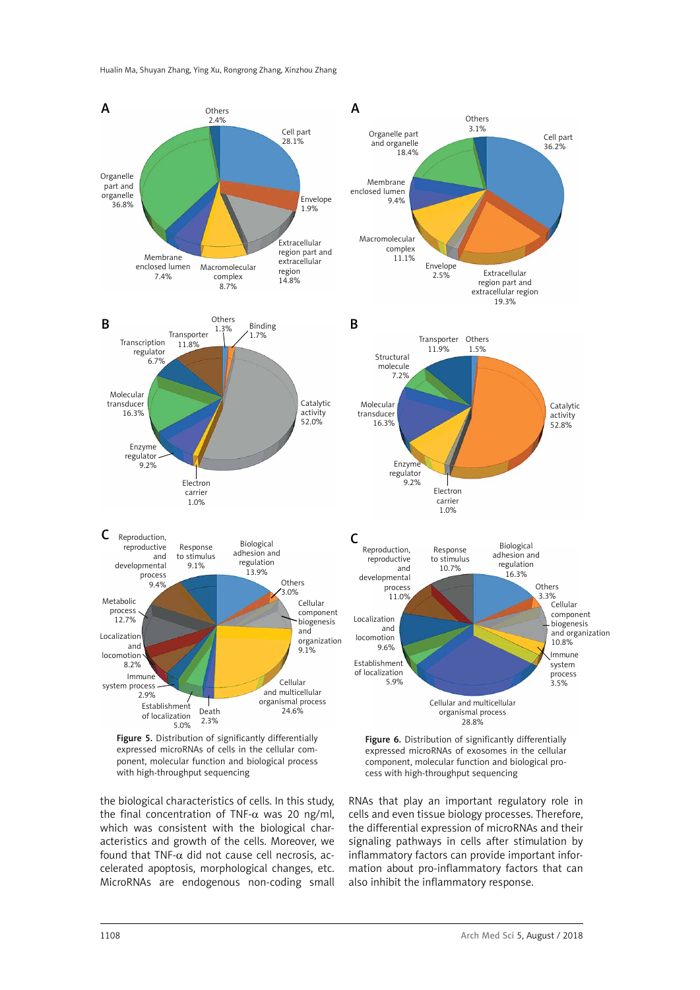

Figure 5. Distribution of significantly differentially expressed microRNAs of cells in the cellular component, molecular function and biological process with high-throughput sequencing

the biological characteristics of cells. In this study, the final concentration of TNF- $α$  was 20 ng/ml, which was consistent with the biological characteristics and growth of the cells. Moreover, we found that TNF- $\alpha$  did not cause cell necrosis, accelerated apoptosis, morphological changes, etc. MicroRNAs are endogenous non-coding small

Figure 6. Distribution of significantly differentially expressed microRNAs of exosomes in the cellular component, molecular function and biological process with high-throughput sequencing

RNAs that play an important regulatory role in cells and even tissue biology processes. Therefore, the differential expression of microRNAs and their signaling pathways in cells after stimulation by inflammatory factors can provide important information about pro-inflammatory factors that can also inhibit the inflammatory response.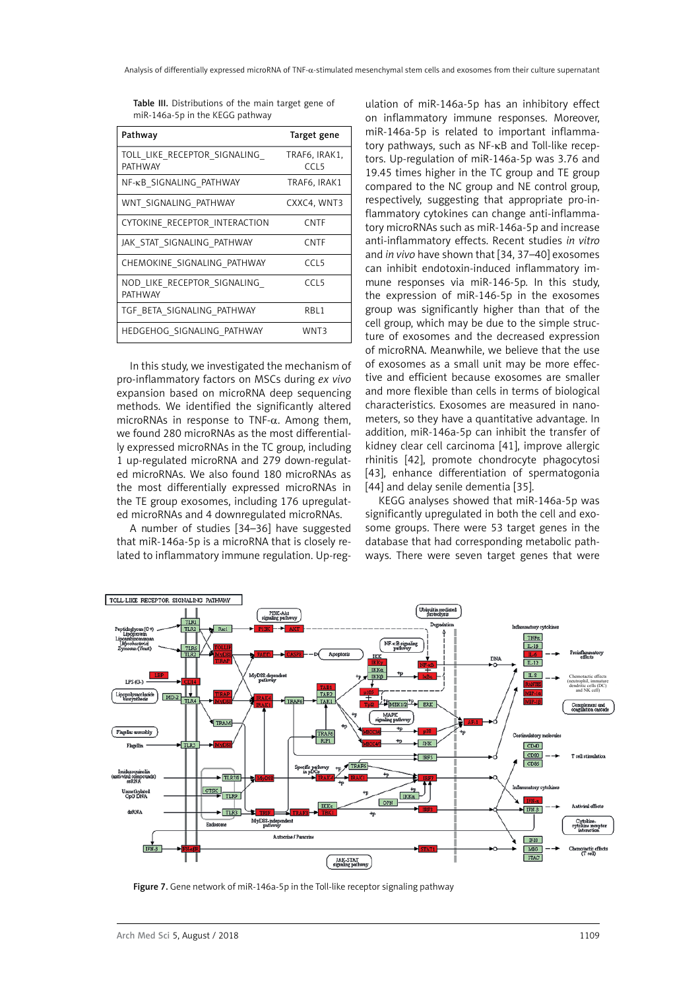| Pathway                                        | Target gene                       |
|------------------------------------------------|-----------------------------------|
| TOLL LIKE RECEPTOR SIGNALING<br><b>PATHWAY</b> | TRAF6, IRAK1.<br>CCL <sub>5</sub> |
| NF-KB SIGNALING PATHWAY                        | TRAF6, IRAK1                      |
| WNT SIGNALING PATHWAY                          | CXXC4, WNT3                       |
| CYTOKINE RECEPTOR INTERACTION                  | <b>CNTF</b>                       |
| JAK STAT SIGNALING PATHWAY                     | <b>CNTF</b>                       |
| CHEMOKINE SIGNALING PATHWAY                    | CCl <sub>5</sub>                  |
| NOD LIKE RECEPTOR SIGNALING<br>PATHWAY         | CCL <sub>5</sub>                  |
| TGF BETA SIGNALING PATHWAY                     | RBL1                              |
| HEDGEHOG SIGNALING PATHWAY                     | WNT3                              |

Table III. Distributions of the main target gene of miR-146a-5p in the KEGG pathway

In this study, we investigated the mechanism of pro-inflammatory factors on MSCs during *ex vivo* expansion based on microRNA deep sequencing methods. We identified the significantly altered microRNAs in response to TNF- $\alpha$ . Among them, we found 280 microRNAs as the most differentially expressed microRNAs in the TC group, including 1 up-regulated microRNA and 279 down-regulated microRNAs. We also found 180 microRNAs as the most differentially expressed microRNAs in the TE group exosomes, including 176 upregulated microRNAs and 4 downregulated microRNAs.

A number of studies [34–36] have suggested that miR-146a-5p is a microRNA that is closely related to inflammatory immune regulation. Up-regulation of miR-146a-5p has an inhibitory effect on inflammatory immune responses. Moreover, miR-146a-5p is related to important inflammatory pathways, such as NF-κB and Toll-like receptors. Up-regulation of miR-146a-5p was 3.76 and 19.45 times higher in the TC group and TE group compared to the NC group and NE control group, respectively, suggesting that appropriate pro-inflammatory cytokines can change anti-inflammatory microRNAs such as miR-146a-5p and increase anti-inflammatory effects. Recent studies *in vitro* and *in vivo* have shown that [34, 37–40] exosomes can inhibit endotoxin-induced inflammatory immune responses via miR-146-5p. In this study, the expression of miR-146-5p in the exosomes group was significantly higher than that of the cell group, which may be due to the simple structure of exosomes and the decreased expression of microRNA. Meanwhile, we believe that the use of exosomes as a small unit may be more effective and efficient because exosomes are smaller and more flexible than cells in terms of biological characteristics. Exosomes are measured in nanometers, so they have a quantitative advantage. In addition, miR-146a-5p can inhibit the transfer of kidney clear cell carcinoma [41], improve allergic rhinitis [42], promote chondrocyte phagocytosi [43], enhance differentiation of spermatogonia [44] and delay senile dementia [35].

KEGG analyses showed that miR-146a-5p was significantly upregulated in both the cell and exosome groups. There were 53 target genes in the database that had corresponding metabolic pathways. There were seven target genes that were



Figure 7. Gene network of miR-146a-5p in the Toll-like receptor signaling pathway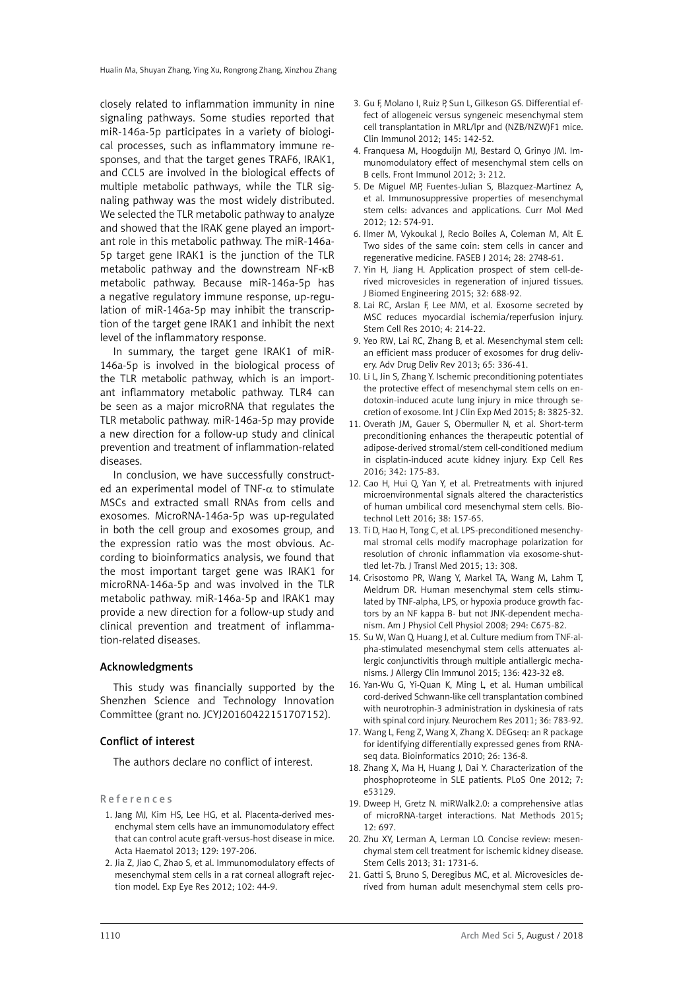closely related to inflammation immunity in nine signaling pathways. Some studies reported that miR-146a-5p participates in a variety of biological processes, such as inflammatory immune responses, and that the target genes TRAF6, IRAK1, and CCL5 are involved in the biological effects of multiple metabolic pathways, while the TLR signaling pathway was the most widely distributed. We selected the TLR metabolic pathway to analyze and showed that the IRAK gene played an important role in this metabolic pathway. The miR-146a-5p target gene IRAK1 is the junction of the TLR metabolic pathway and the downstream NF-kB metabolic pathway. Because miR-146a-5p has a negative regulatory immune response, up-regulation of miR-146a-5p may inhibit the transcription of the target gene IRAK1 and inhibit the next level of the inflammatory response.

In summary, the target gene IRAK1 of miR-146a-5p is involved in the biological process of the TLR metabolic pathway, which is an important inflammatory metabolic pathway. TLR4 can be seen as a major microRNA that regulates the TLR metabolic pathway. miR-146a-5p may provide a new direction for a follow-up study and clinical prevention and treatment of inflammation-related diseases.

In conclusion, we have successfully constructed an experimental model of TNF- $\alpha$  to stimulate MSCs and extracted small RNAs from cells and exosomes. MicroRNA-146a-5p was up-regulated in both the cell group and exosomes group, and the expression ratio was the most obvious. According to bioinformatics analysis, we found that the most important target gene was IRAK1 for microRNA-146a-5p and was involved in the TLR metabolic pathway. miR-146a-5p and IRAK1 may provide a new direction for a follow-up study and clinical prevention and treatment of inflammation-related diseases.

## Acknowledgments

This study was financially supported by the Shenzhen Science and Technology Innovation Committee (grant no. JCYJ20160422151707152).

#### Conflict of interest

The authors declare no conflict of interest.

References

- 1. Jang MJ, Kim HS, Lee HG, et al. Placenta-derived mesenchymal stem cells have an immunomodulatory effect that can control acute graft-versus-host disease in mice. Acta Haematol 2013; 129: 197-206.
- 2. Jia Z, Jiao C, Zhao S, et al. Immunomodulatory effects of mesenchymal stem cells in a rat corneal allograft rejection model. Exp Eye Res 2012; 102: 44-9.
- 3. Gu F, Molano I, Ruiz P, Sun L, Gilkeson GS. Differential effect of allogeneic versus syngeneic mesenchymal stem cell transplantation in MRL/lpr and (NZB/NZW)F1 mice. Clin Immunol 2012; 145: 142-52.
- 4. Franquesa M, Hoogduijn MJ, Bestard O, Grinyo JM. Immunomodulatory effect of mesenchymal stem cells on B cells. Front Immunol 2012; 3: 212.
- 5. De Miguel MP, Fuentes-Julian S, Blazquez-Martinez A, et al. Immunosuppressive properties of mesenchymal stem cells: advances and applications. Curr Mol Med 2012; 12: 574-91.
- 6. Ilmer M, Vykoukal J, Recio Boiles A, Coleman M, Alt E. Two sides of the same coin: stem cells in cancer and regenerative medicine. FASEB J 2014; 28: 2748-61.
- 7. Yin H, Jiang H. Application prospect of stem cell-derived microvesicles in regeneration of injured tissues. J Biomed Engineering 2015; 32: 688-92.
- 8. Lai RC, Arslan F, Lee MM, et al. Exosome secreted by MSC reduces myocardial ischemia/reperfusion injury. Stem Cell Res 2010; 4: 214-22.
- 9. Yeo RW, Lai RC, Zhang B, et al. Mesenchymal stem cell: an efficient mass producer of exosomes for drug delivery. Adv Drug Deliv Rev 2013; 65: 336-41.
- 10. Li L, Jin S, Zhang Y. Ischemic preconditioning potentiates the protective effect of mesenchymal stem cells on endotoxin-induced acute lung injury in mice through secretion of exosome. Int J Clin Exp Med 2015; 8: 3825-32.
- 11. Overath JM, Gauer S, Obermuller N, et al. Short-term preconditioning enhances the therapeutic potential of adipose-derived stromal/stem cell-conditioned medium in cisplatin-induced acute kidney injury. Exp Cell Res 2016; 342: 175-83.
- 12. Cao H, Hui Q, Yan Y, et al. Pretreatments with injured microenvironmental signals altered the characteristics of human umbilical cord mesenchymal stem cells. Biotechnol Lett 2016; 38: 157-65.
- 13. Ti D, Hao H, Tong C, et al. LPS-preconditioned mesenchymal stromal cells modify macrophage polarization for resolution of chronic inflammation via exosome-shuttled let-7b. J Transl Med 2015; 13: 308.
- 14. Crisostomo PR, Wang Y, Markel TA, Wang M, Lahm T, Meldrum DR. Human mesenchymal stem cells stimulated by TNF-alpha, LPS, or hypoxia produce growth factors by an NF kappa B- but not JNK-dependent mechanism. Am J Physiol Cell Physiol 2008; 294: C675-82.
- 15. Su W, Wan Q, Huang J, et al. Culture medium from TNF-alpha-stimulated mesenchymal stem cells attenuates allergic conjunctivitis through multiple antiallergic mechanisms. J Allergy Clin Immunol 2015; 136: 423-32 e8.
- 16. Yan-Wu G, Yi-Quan K, Ming L, et al. Human umbilical cord-derived Schwann-like cell transplantation combined with neurotrophin-3 administration in dyskinesia of rats with spinal cord injury. Neurochem Res 2011; 36: 783-92.
- 17. Wang L, Feng Z, Wang X, Zhang X. DEGseq: an R package for identifying differentially expressed genes from RNAseq data. Bioinformatics 2010; 26: 136-8.
- 18. Zhang X, Ma H, Huang J, Dai Y. Characterization of the phosphoproteome in SLE patients. PLoS One 2012; 7: e53129.
- 19. Dweep H, Gretz N. miRWalk2.0: a comprehensive atlas of microRNA-target interactions. Nat Methods 2015; 12: 697.
- 20. Zhu XY, Lerman A, Lerman LO. Concise review: mesenchymal stem cell treatment for ischemic kidney disease. Stem Cells 2013; 31: 1731-6.
- 21. Gatti S, Bruno S, Deregibus MC, et al. Microvesicles derived from human adult mesenchymal stem cells pro-